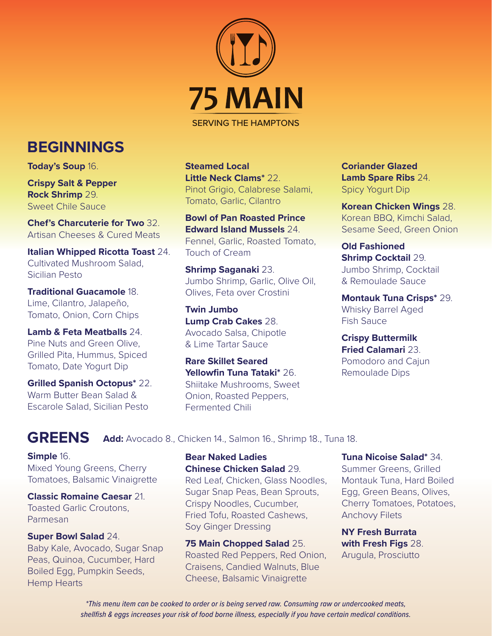

SERVING THE HAMPTONS

**Steamed Local Little Neck Clams\*** 22. Pinot Grigio, Calabrese Salami, Tomato, Garlic, Cilantro

**Bowl of Pan Roasted Prince Edward Island Mussels** 24. Fennel, Garlic, Roasted Tomato, Touch of Cream

**Shrimp Saganaki** 23. Jumbo Shrimp, Garlic, Olive Oil, Olives, Feta over Crostini

**Twin Jumbo Lump Crab Cakes** 28. Avocado Salsa, Chipotle & Lime Tartar Sauce

**Rare Skillet Seared Yellowfin Tuna Tataki\*** 26. Shiitake Mushrooms, Sweet Onion, Roasted Peppers, Fermented Chili

**Coriander Glazed Lamb Spare Ribs** 24. Spicy Yogurt Dip

**Korean Chicken Wings** 28. Korean BBQ, Kimchi Salad, Sesame Seed, Green Onion

**Old Fashioned Shrimp Cocktail** 29. Jumbo Shrimp, Cocktail & Remoulade Sauce

**Montauk Tuna Crisps\*** 29. Whisky Barrel Aged Fish Sauce

**Crispy Buttermilk Fried Calamari** 23. Pomodoro and Cajun Remoulade Dips

# **BEGINNINGS**

**Today's Soup** 16.

**Crispy Salt & Pepper Rock Shrimp** 29. Sweet Chile Sauce

**Chef's Charcuterie for Two** 32. Artisan Cheeses & Cured Meats

**Italian Whipped Ricotta Toast** 24. Cultivated Mushroom Salad, Sicilian Pesto

**Traditional Guacamole** 18. Lime, Cilantro, Jalapeño, Tomato, Onion, Corn Chips

**Lamb & Feta Meatballs** 24. Pine Nuts and Green Olive, Grilled Pita, Hummus, Spiced Tomato, Date Yogurt Dip

**Grilled Spanish Octopus\*** 22. Warm Butter Bean Salad & Escarole Salad, Sicilian Pesto

### **GREENS**

**Add:** Avocado 8., Chicken 14., Salmon 16., Shrimp 18., Tuna 18.

#### **Simple** 16.

Mixed Young Greens, Cherry Tomatoes, Balsamic Vinaigrette

**Classic Romaine Caesar** 21. Toasted Garlic Croutons, Parmesan

#### **Super Bowl Salad** 24.

Baby Kale, Avocado, Sugar Snap Peas, Quinoa, Cucumber, Hard Boiled Egg, Pumpkin Seeds, Hemp Hearts

#### **Bear Naked Ladies Chinese Chicken Salad** 29.

Red Leaf, Chicken, Glass Noodles, Sugar Snap Peas, Bean Sprouts, Crispy Noodles, Cucumber, Fried Tofu, Roasted Cashews, Soy Ginger Dressing

**75 Main Chopped Salad** 25. Roasted Red Peppers, Red Onion, Craisens, Candied Walnuts, Blue Cheese, Balsamic Vinaigrette

#### **Tuna Nicoise Salad\*** 34.

Summer Greens, Grilled Montauk Tuna, Hard Boiled Egg, Green Beans, Olives, Cherry Tomatoes, Potatoes, Anchovy Filets

**NY Fresh Burrata with Fresh Figs** 28. Arugula, Prosciutto

*\*This menu item can be cooked to order or is being served raw. Consuming raw or undercooked meats, shellfish & eggs increases your risk of food borne illness, especially if you have certain medical conditions.*